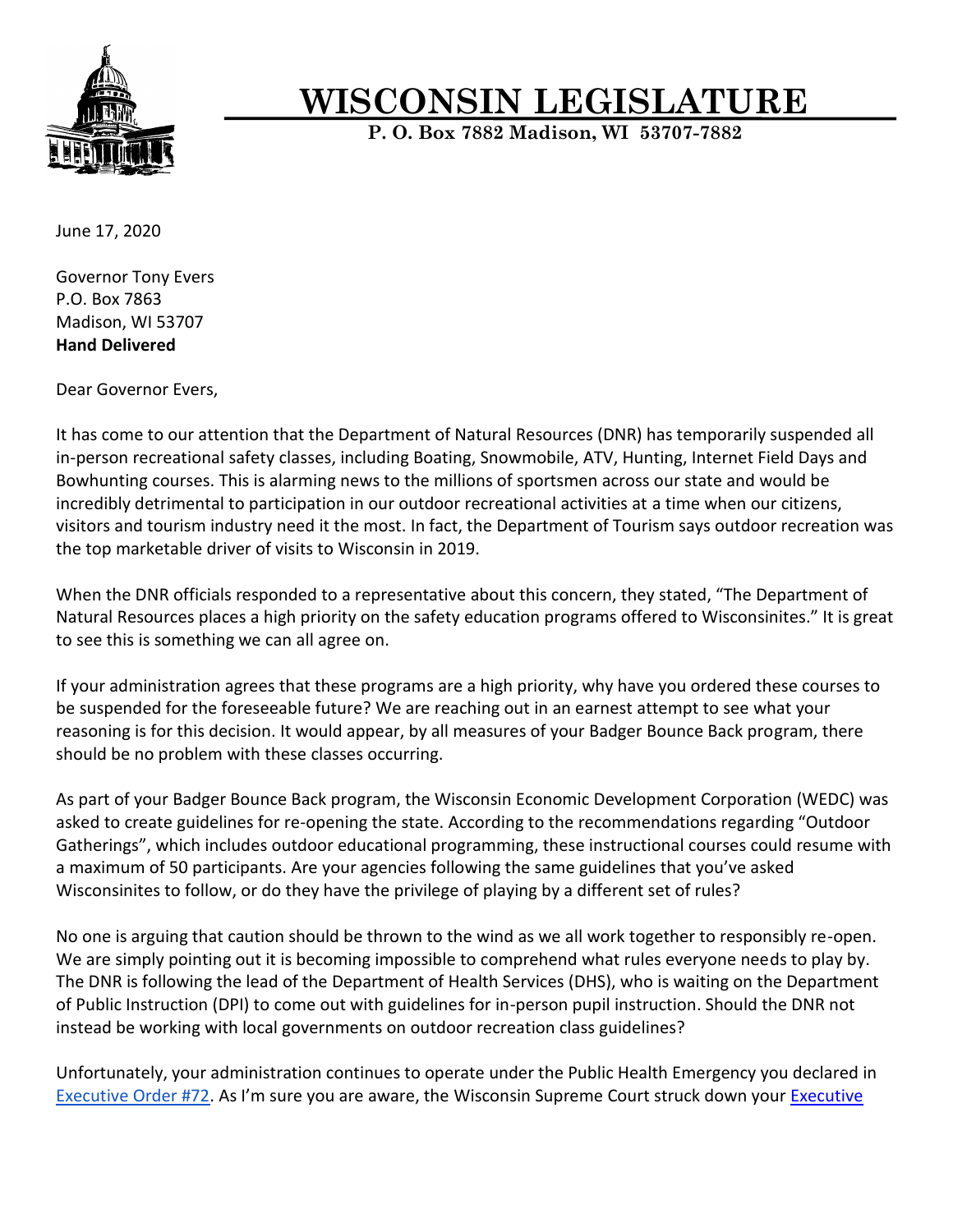

## **WISCONSIN LEGISLATURE**

**P. O. Box 7882 Madison, WI 53707-7882**

June 17, 2020

Governor Tony Evers P.O. Box 7863 Madison, WI 53707 **Hand Delivered**

Dear Governor Evers,

It has come to our attention that the Department of Natural Resources (DNR) has temporarily suspended all in-person recreational safety classes, including Boating, Snowmobile, ATV, Hunting, Internet Field Days and Bowhunting courses. This is alarming news to the millions of sportsmen across our state and would be incredibly detrimental to participation in our outdoor recreational activities at a time when our citizens, visitors and tourism industry need it the most. In fact, the Department of Tourism says outdoor recreation was the top marketable driver of visits to Wisconsin in 2019.

When the DNR officials responded to a representative about this concern, they stated, "The Department of Natural Resources places a high priority on the safety education programs offered to Wisconsinites." It is great to see this is something we can all agree on.

If your administration agrees that these programs are a high priority, why have you ordered these courses to be suspended for the foreseeable future? We are reaching out in an earnest attempt to see what your reasoning is for this decision. It would appear, by all measures of your Badger Bounce Back program, there should be no problem with these classes occurring.

As part of your Badger Bounce Back program, the Wisconsin Economic Development Corporation (WEDC) was asked to create guidelines for re-opening the state. According to the recommendations regarding "Outdoor Gatherings", which includes outdoor educational programming, these instructional courses could resume with a maximum of 50 participants. Are your agencies following the same guidelines that you've asked Wisconsinites to follow, or do they have the privilege of playing by a different set of rules?

No one is arguing that caution should be thrown to the wind as we all work together to responsibly re-open. We are simply pointing out it is becoming impossible to comprehend what rules everyone needs to play by. The DNR is following the lead of the Department of Health Services (DHS), who is waiting on the Department of Public Instruction (DPI) to come out with guidelines for in-person pupil instruction. Should the DNR not instead be working with local governments on outdoor recreation class guidelines?

Unfortunately, your administration continues to operate under the Public Health Emergency you declared in [Executive Order #72.](https://docs.legis.wisconsin.gov/misc/lc/issue_briefs/2020/covid_19/ib_exor72_mq_2020_07_04) As I'm sure you are aware, the Wisconsin Supreme Court struck down your [Executive](http://www.thewheelerreport.com/wheeler_docs/files/052720fabickvpalmorder.pdf)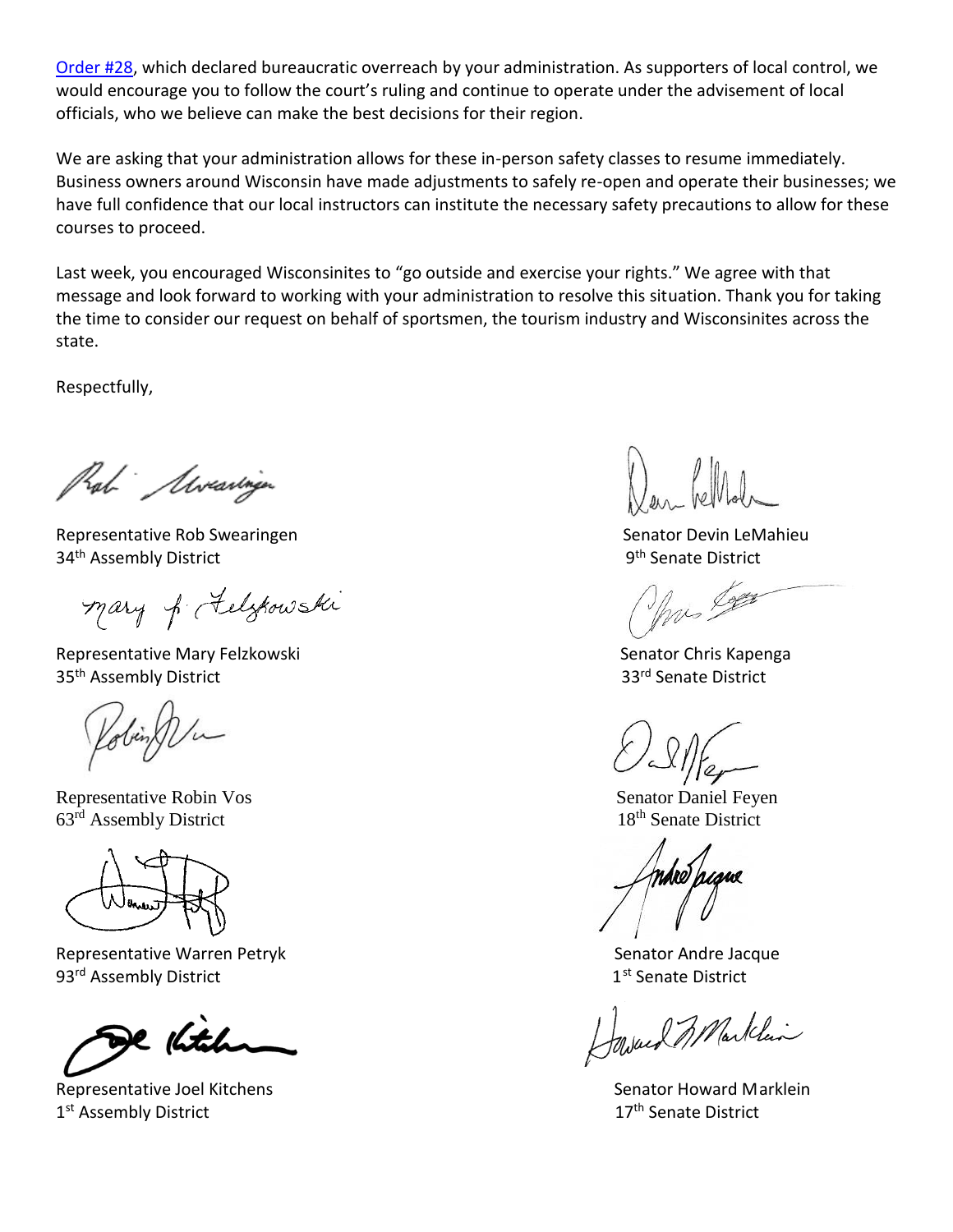[Order #28,](http://www.thewheelerreport.com/wheeler_docs/files/052720fabickvpalmorder.pdf) which declared bureaucratic overreach by your administration. As supporters of local control, we would encourage you to follow the court's ruling and continue to operate under the advisement of local officials, who we believe can make the best decisions for their region.

We are asking that your administration allows for these in-person safety classes to resume immediately. Business owners around Wisconsin have made adjustments to safely re-open and operate their businesses; we have full confidence that our local instructors can institute the necessary safety precautions to allow for these courses to proceed.

Last week, you encouraged Wisconsinites to "go outside and exercise your rights." We agree with that message and look forward to working with your administration to resolve this situation. Thank you for taking the time to consider our request on behalf of sportsmen, the tourism industry and Wisconsinites across the state.

Respectfully,

Rab Moraringen

Representative Rob Swearingen Senator Devin LeMahieu 34<sup>th</sup> Assembly District

mary of Felzkowski

Representative Mary Felzkowski **Senator Chris Kapenga** Senator Chris Kapenga 35<sup>th</sup> Assembly District 33<sup>rd</sup> Senate District

Representative Robin Vos **Senator Daniel Feyen**  $63<sup>rd</sup>$  Assembly District 18<sup>th</sup> Senate District



Representative Warren Petryk Senator Andre Jacque 93<sup>rd</sup> Assembly District 1st Assembly District Controller Controller Controller Assembly District

e <sub>K</sub>itch

Representative Joel Kitchens Senator Howard Marklein Senator Howard Marklein 1<sup>st</sup> Assembly District 17th Senate District

9<sup>th</sup> Senate District

mis Loger

Marklin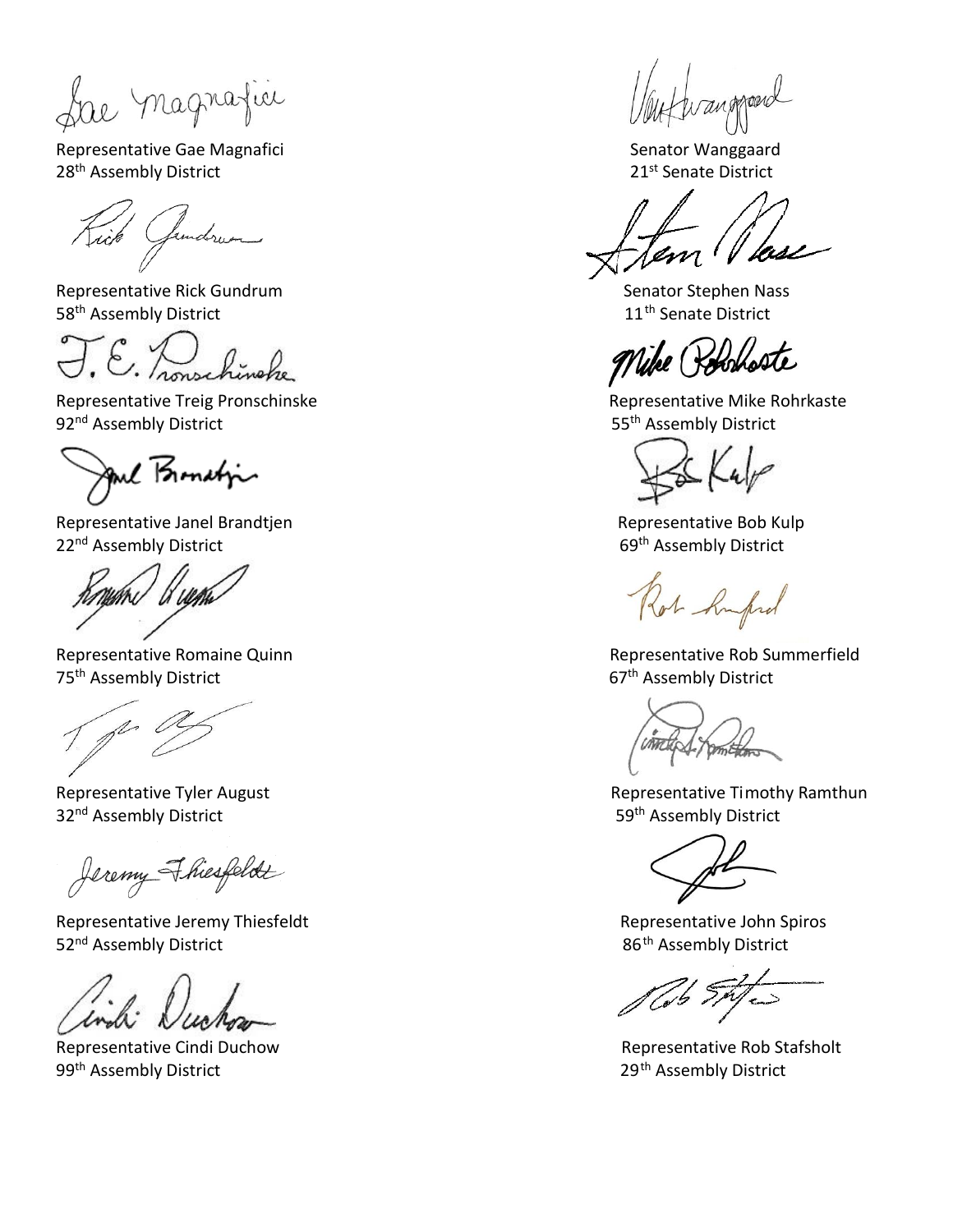Representative Gae Magnafici **Senator Wanggaard** 28<sup>th</sup> Assembly District 21st Senate District

Gendrum

Representative Rick Gundrum Nassentative Rick Gundrum Senator Stephen Nassentative Senator Stephen Nassentative 58<sup>th</sup> Assembly District 11<sup>th</sup> Senate District

J.E. Zonschinghe

Representative Treig Pronschinske **Representative Mike Rohrkaste** Representative Mike Rohrkaste 92<sup>nd</sup> Assembly District 65<sup>th</sup> Assembly District

Jul Bonation

Representative Janel Brandtjen Representative Bob Kulp 22<sup>nd</sup> Assembly District **69th Assembly District** 69th Assembly District

Representative Romaine Quinn 75<sup>th</sup> Assembly District **67th Assembly District** 

p O

32<sup>nd</sup> Assembly District **59th Assembly District** 59th Assembly District

Jeremy Fhiesfeldt

Representative Jeremy Thiesfeldt **Representative Iohn Spiros** Representative John Spiros 52<sup>nd</sup> Assembly District **86th Assembly District** 86<sup>th</sup> Assembly District

Representative Cindi Duchow **Representative Rob Stafsholt** 99<sup>th</sup> Assembly District **29<sup>th</sup> Assembly District** 

trangeroard

Vike (Pohoboste

Ros hufud

Representative Rob Summerfield

amthors

Representative Tyler August **Representative Timothy Ramthun** 

Cob SAJes